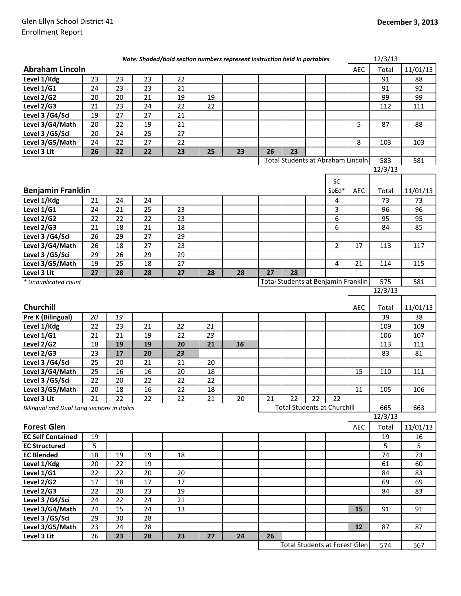|                                             |        |    |        | Note: Shaded/bold section numbers represent instruction held in portables |    |    |    |                                      |    |                |            | 12/3/13 |          |
|---------------------------------------------|--------|----|--------|---------------------------------------------------------------------------|----|----|----|--------------------------------------|----|----------------|------------|---------|----------|
| <b>Abraham Lincoln</b>                      |        |    |        |                                                                           |    |    |    |                                      |    |                | <b>AEC</b> | Total   | 11/01/13 |
| Level 1/Kdg                                 | 23     | 23 | 23     | 22                                                                        |    |    |    |                                      |    |                |            | 91      | 88       |
| Level 1/G1                                  | 24     | 23 | 23     | 21                                                                        |    |    |    |                                      |    |                |            | 91      | 92       |
| Level 2/G2                                  | 20     | 20 | 21     | 19                                                                        | 19 |    |    |                                      |    |                |            | 99      | 99       |
| Level 2/G3                                  | 21     | 23 | 24     | 22                                                                        | 22 |    |    |                                      |    |                |            | 112     | 111      |
| Level 3 /G4/Sci                             | 19     | 27 | 27     | 21                                                                        |    |    |    |                                      |    |                |            |         |          |
| Level 3/G4/Math                             | 20     | 22 | 19     | 21                                                                        |    |    |    |                                      |    |                | 5          | 87      | 88       |
| Level 3 /G5/Sci                             | 20     | 24 | 25     | 27                                                                        |    |    |    |                                      |    |                |            |         |          |
| Level 3/G5/Math                             | 24     | 22 | 27     | 22                                                                        |    |    |    |                                      |    |                | 8          | 103     | 103      |
| Level 3 Lit                                 | 26     | 22 | 22     | 23                                                                        | 25 | 23 | 26 | 23                                   |    |                |            |         |          |
|                                             |        |    |        |                                                                           |    |    |    | Total Students at Abraham Lincoln    |    |                |            | 583     | 581      |
|                                             |        |    |        |                                                                           |    |    |    |                                      |    |                |            | 12/3/13 |          |
|                                             |        |    |        |                                                                           |    |    |    |                                      |    | <b>SC</b>      |            |         |          |
| <b>Benjamin Franklin</b>                    |        |    |        |                                                                           |    |    |    |                                      |    | SpEd*          | AEC        | Total   | 11/01/13 |
| Level 1/Kdg                                 | 21     | 24 | 24     |                                                                           |    |    |    |                                      |    | 4              |            | 73      | 73       |
| Level 1/G1                                  | 24     | 21 | 25     | 23                                                                        |    |    |    |                                      |    | 3              |            | 96      | 96       |
| Level 2/G2                                  | 22     | 22 | 22     | 23                                                                        |    |    |    |                                      |    | 6              |            | 95      | 95       |
| Level 2/G3                                  | 21     | 18 | 21     | 18                                                                        |    |    |    |                                      |    | 6              |            | 84      | 85       |
| Level 3 /G4/Sci                             | 26     | 29 | 27     | 29                                                                        |    |    |    |                                      |    |                |            |         |          |
| Level 3/G4/Math                             | 26     | 18 | 27     | 23                                                                        |    |    |    |                                      |    | $\overline{2}$ | 17         | 113     | 117      |
| Level 3 /G5/Sci                             | 29     | 26 | 29     | 29                                                                        |    |    |    |                                      |    |                |            |         |          |
| Level 3/G5/Math                             | 19     | 25 | 18     | 27                                                                        |    |    |    |                                      |    | 4              | 21         | 114     | 115      |
| Level 3 Lit                                 | 27     | 28 | 28     | 27                                                                        | 28 | 28 | 27 | 28                                   |    |                |            |         |          |
| * Unduplicated count                        |        |    |        |                                                                           |    |    |    | Total Students at Benjamin Franklin  |    |                |            | 575     | 581      |
|                                             |        |    |        |                                                                           |    |    |    |                                      |    |                |            | 12/3/13 |          |
|                                             |        |    |        |                                                                           |    |    |    |                                      |    |                |            |         |          |
| Churchill                                   |        |    |        |                                                                           |    |    |    |                                      |    |                | AEC        | Total   | 11/01/13 |
| Pre K (Bilingual)                           | 20     | 19 |        |                                                                           |    |    |    |                                      |    |                |            | 39      | 38       |
| Level 1/Kdg                                 | 22     | 23 | 21     | 22                                                                        | 21 |    |    |                                      |    |                |            | 109     | 109      |
| Level 1/G1                                  | 21     | 21 | 19     | 22                                                                        | 23 |    |    |                                      |    |                |            | 106     | 107      |
| Level 2/G2                                  | 18     | 19 | 19     | 20                                                                        | 21 | 16 |    |                                      |    |                |            | 113     | 111      |
| Level 2/G3                                  | 23     | 17 | 20     | 23                                                                        |    |    |    |                                      |    |                |            | 83      | 81       |
| Level 3 /G4/Sci                             | 25     | 20 | 21     | 21                                                                        | 20 |    |    |                                      |    |                |            |         |          |
| Level 3/G4/Math                             | 25     | 16 | 16     | 20                                                                        | 18 |    |    |                                      |    |                | 15         | 110     | 111      |
| Level 3 /G5/Sci                             | 22     | 20 | 22     | 22                                                                        | 22 |    |    |                                      |    |                |            |         |          |
| Level 3/G5/Math                             | $20\,$ | 18 | $16\,$ | 22                                                                        | 18 |    |    |                                      |    |                | $11\,$     | 105     | 106      |
| Level 3 Lit                                 | 21     | 22 | 22     | 22                                                                        | 21 | 20 | 21 | 22                                   | 22 | 22             |            |         |          |
| Bilingual and Dual Lang sections in italics |        |    |        |                                                                           |    |    |    | <b>Total Students at Churchill</b>   |    |                |            | 665     | 663      |
|                                             |        |    |        |                                                                           |    |    |    |                                      |    |                |            | 12/3/13 |          |
| <b>Forest Glen</b>                          |        |    |        |                                                                           |    |    |    |                                      |    |                | AEC        | Total   | 11/01/13 |
| <b>EC Self Contained</b>                    | 19     |    |        |                                                                           |    |    |    |                                      |    |                |            | 19      | 16       |
| <b>EC Structured</b>                        | 5      |    |        |                                                                           |    |    |    |                                      |    |                |            | 5       | 5        |
| <b>EC Blended</b>                           | 18     | 19 | 19     | 18                                                                        |    |    |    |                                      |    |                |            | 74      | 73       |
| Level 1/Kdg                                 | 20     | 22 | 19     |                                                                           |    |    |    |                                      |    |                |            | 61      | 60       |
| Level 1/G1                                  | 22     | 22 | 20     | 20                                                                        |    |    |    |                                      |    |                |            | 84      | 83       |
| Level 2/G2                                  | 17     | 18 | 17     | 17                                                                        |    |    |    |                                      |    |                |            | 69      | 69       |
| Level 2/G3                                  | 22     | 20 | 23     | 19                                                                        |    |    |    |                                      |    |                |            | 84      | 83       |
| Level 3 /G4/Sci                             | 24     | 22 | 24     | 21                                                                        |    |    |    |                                      |    |                |            |         |          |
| Level 3/G4/Math                             | 24     | 15 | 24     | 13                                                                        |    |    |    |                                      |    |                | 15         | 91      | 91       |
| Level 3 /G5/Sci                             | 29     | 30 | 28     |                                                                           |    |    |    |                                      |    |                |            |         |          |
| Level 3/G5/Math                             | 23     | 24 | 28     |                                                                           |    |    |    |                                      |    |                | 12         | 87      | 87       |
| Level 3 Lit                                 | 26     | 23 | 28     | 23                                                                        | 27 | 24 | 26 |                                      |    |                |            |         |          |
|                                             |        |    |        |                                                                           |    |    |    | <b>Total Students at Forest Glen</b> |    |                |            | 574     | 567      |